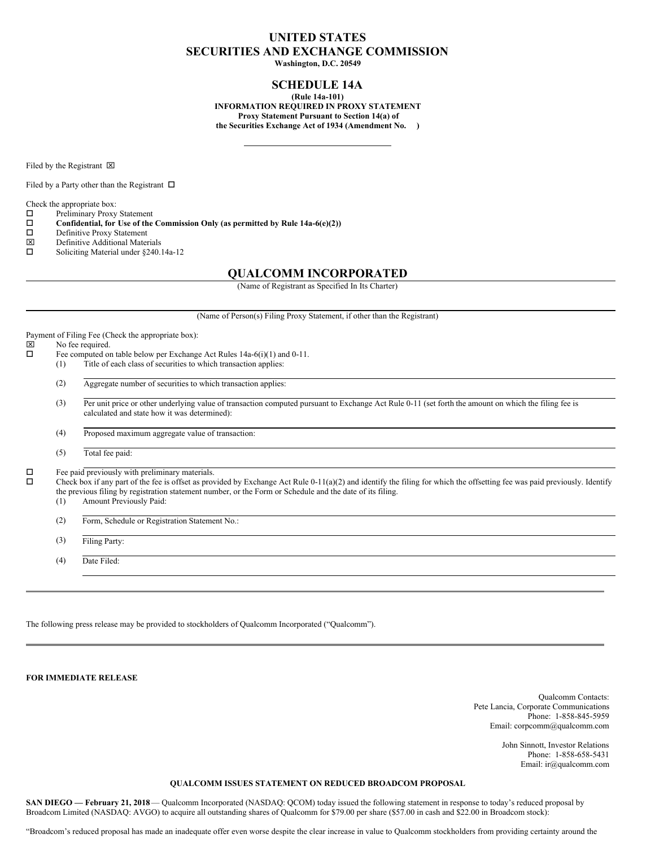# **UNITED STATES SECURITIES AND EXCHANGE COMMISSION**

**Washington, D.C. 20549**

## **SCHEDULE 14A**

**(Rule 14a-101) INFORMATION REQUIRED IN PROXY STATEMENT Proxy Statement Pursuant to Section 14(a) of the Securities Exchange Act of 1934 (Amendment No. )**

Filed by the Registrant  $\boxtimes$ 

Filed by a Party other than the Registrant  $\Box$ 

Check the appropriate box:

 $\square$  Preliminary Proxy Statement<br> $\square$  Confidential, for Use of the

**Confidential, for** Use of the Commission Only (as permitted by Rule  $14a-6(e)(2)$ )<br>  $\Box$  Definitive Proxy Statement

- □ Definitive Proxy Statement<br> **図** Definitive Additional Mater
- $\boxtimes$  Definitive Additional Materials<br> $\square$  Soliciting Material under \$240.
- Soliciting Material under §240.14a-12

## **QUALCOMM INCORPORATED**

(Name of Registrant as Specified In Its Charter)

(Name of Person(s) Filing Proxy Statement, if other than the Registrant)

Payment of Filing Fee (Check the appropriate box):  $\boxtimes$  No fee required.<br> $\square$  Fee computed on Fee computed on table below per Exchange Act Rules 14a-6(i)(1) and 0-11. (1) Title of each class of securities to which transaction applies: (2) Aggregate number of securities to which transaction applies: (3) Per unit price or other underlying value of transaction computed pursuant to Exchange Act Rule 0-11 (set forth the amount on which the filing fee is calculated and state how it was determined): (4) Proposed maximum aggregate value of transaction: (5) Total fee paid:  $\Box$  Fee paid previously with preliminary materials.<br> $\Box$  Check box if any part of the fee is offeet as provided. o Check box if any part of the fee is offset as provided by Exchange Act Rule 0-11(a)(2) and identify the filing for which the offsetting fee was paid previously. Identify the previous filing by registration statement number, or the Form or Schedule and the date of its filing. (1) Amount Previously Paid: (2) Form, Schedule or Registration Statement No.: (3) Filing Party: (4) Date Filed:

The following press release may be provided to stockholders of Qualcomm Incorporated ("Qualcomm").

**FOR IMMEDIATE RELEASE**

Qualcomm Contacts: Pete Lancia, Corporate Communications Phone: 1-858-845-5959 Email: corpcomm@qualcomm.com

> John Sinnott, Investor Relations Phone: 1-858-658-5431 Email: ir@qualcomm.com

## **QUALCOMM ISSUES STATEMENT ON REDUCED BROADCOM PROPOSAL**

**SAN DIEGO — February 21, 2018**— Qualcomm Incorporated (NASDAQ: QCOM) today issued the following statement in response to today's reduced proposal by Broadcom Limited (NASDAQ: AVGO) to acquire all outstanding shares of Qualcomm for \$79.00 per share (\$57.00 in cash and \$22.00 in Broadcom stock):

"Broadcom's reduced proposal has made an inadequate offer even worse despite the clear increase in value to Qualcomm stockholders from providing certainty around the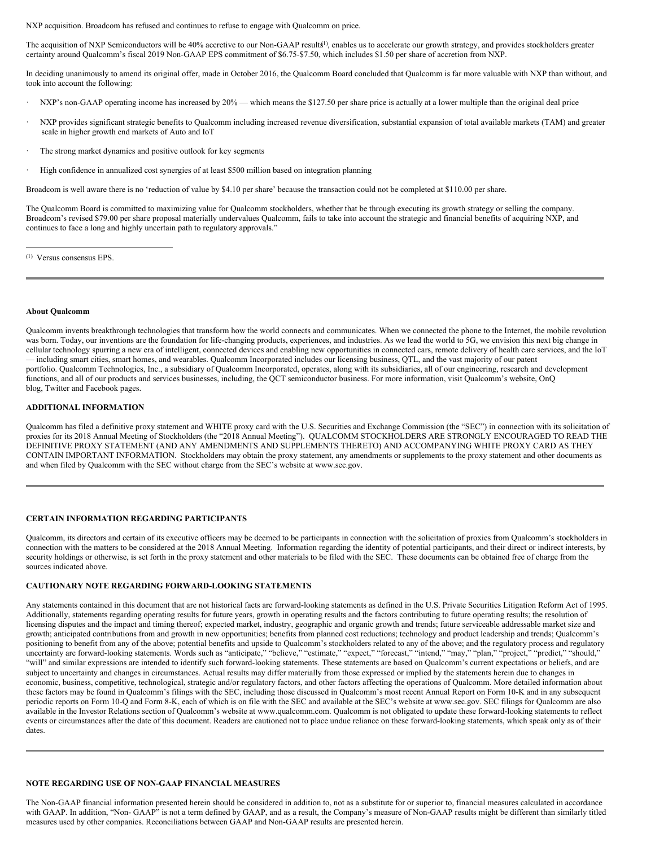NXP acquisition. Broadcom has refused and continues to refuse to engage with Qualcomm on price.

The acquisition of NXP Semiconductors will be 40% accretive to our Non-GAAP results<sup>1)</sup>, enables us to accelerate our growth strategy, and provides stockholders greater certainty around Qualcomm's fiscal 2019 Non-GAAP EPS commitment of \$6.75-\$7.50, which includes \$1.50 per share of accretion from NXP.

In deciding unanimously to amend its original offer, made in October 2016, the Qualcomm Board concluded that Qualcomm is far more valuable with NXP than without, and took into account the following:

- NXP's non-GAAP operating income has increased by 20% which means the \$127.50 per share price is actually at a lower multiple than the original deal price
- · NXP provides significant strategic benefits to Qualcomm including increased revenue diversification, substantial expansion of total available markets (TAM) and greater scale in higher growth end markets of Auto and IoT
- The strong market dynamics and positive outlook for key segments
- High confidence in annualized cost synergies of at least \$500 million based on integration planning

Broadcom is well aware there is no 'reduction of value by \$4.10 per share' because the transaction could not be completed at \$110.00 per share.

The Qualcomm Board is committed to maximizing value for Qualcomm stockholders, whether that be through executing its growth strategy or selling the company. Broadcom's revised \$79.00 per share proposal materially undervalues Qualcomm, fails to take into account the strategic and financial benefits of acquiring NXP, and continues to face a long and highly uncertain path to regulatory approvals."

Versus consensus EPS. (1)

#### **About Qualcomm**

Qualcomm invents breakthrough technologies that transform how the world connects and communicates. When we connected the phone to the Internet, the mobile revolution was born. Today, our inventions are the foundation for life-changing products, experiences, and industries. As we lead the world to 5G, we envision this next big change in cellular technology spurring a new era of intelligent, connected devices and enabling new opportunities in connected cars, remote delivery of health care services, and the IoT — including smart cities, smart homes, and wearables. Qualcomm Incorporated includes our licensing business, QTL, and the vast majority of our patent portfolio. Qualcomm Technologies, Inc., a subsidiary of Qualcomm Incorporated, operates, along with its subsidiaries, all of our engineering, research and development functions, and all of our products and services businesses, including, the QCT semiconductor business. For more information, visit Qualcomm's website, OnQ blog, Twitter and Facebook pages.

#### **ADDITIONAL INFORMATION**

Qualcomm has filed a definitive proxy statement and WHITE proxy card with the U.S. Securities and Exchange Commission (the "SEC") in connection with its solicitation of proxies for its 2018 Annual Meeting of Stockholders (the "2018 Annual Meeting"). QUALCOMM STOCKHOLDERS ARE STRONGLY ENCOURAGED TO READ THE DEFINITIVE PROXY STATEMENT (AND ANY AMENDMENTS AND SUPPLEMENTS THERETO) AND ACCOMPANYING WHITE PROXY CARD AS THEY CONTAIN IMPORTANT INFORMATION. Stockholders may obtain the proxy statement, any amendments or supplements to the proxy statement and other documents as and when filed by Qualcomm with the SEC without charge from the SEC's website at www.sec.gov.

#### **CERTAIN INFORMATION REGARDING PARTICIPANTS**

Qualcomm, its directors and certain of its executive officers may be deemed to be participants in connection with the solicitation of proxies from Qualcomm's stockholders in connection with the matters to be considered at the 2018 Annual Meeting. Information regarding the identity of potential participants, and their direct or indirect interests, by security holdings or otherwise, is set forth in the proxy statement and other materials to be filed with the SEC. These documents can be obtained free of charge from the sources indicated above.

#### **CAUTIONARY NOTE REGARDING FORWARD-LOOKING STATEMENTS**

Any statements contained in this document that are not historical facts are forward-looking statements as defined in the U.S. Private Securities Litigation Reform Act of 1995. Additionally, statements regarding operating results for future years, growth in operating results and the factors contributing to future operating results; the resolution of licensing disputes and the impact and timing thereof; expected market, industry, geographic and organic growth and trends; future serviceable addressable market size and growth; anticipated contributions from and growth in new opportunities; benefits from planned cost reductions; technology and product leadership and trends; Qualcomm's positioning to benefit from any of the above; potential benefits and upside to Qualcomm's stockholders related to any of the above; and the regulatory process and regulatory uncertainty are forward-looking statements. Words such as "anticipate," "believe," "estimate," "expect," "forecast," "intend," "may," "plan," "project," "predict," "should," "will" and similar expressions are intended to identify such forward-looking statements. These statements are based on Qualcomm's current expectations or beliefs, and are subject to uncertainty and changes in circumstances. Actual results may differ materially from those expressed or implied by the statements herein due to changes in economic, business, competitive, technological, strategic and/or regulatory factors, and other factors affecting the operations of Qualcomm. More detailed information about these factors may be found in Qualcomm's filings with the SEC, including those discussed in Qualcomm's most recent Annual Report on Form 10-K and in any subsequent periodic reports on Form 10-Q and Form 8-K, each of which is on file with the SEC and available at the SEC's website at www.sec.gov. SEC filings for Qualcomm are also available in the Investor Relations section of Qualcomm's website at www.qualcomm.com. Qualcomm is not obligated to update these forward-looking statements to reflect events or circumstances after the date of this document. Readers are cautioned not to place undue reliance on these forward-looking statements, which speak only as of their dates.

### **NOTE REGARDING USE OF NON-GAAP FINANCIAL MEASURES**

The Non-GAAP financial information presented herein should be considered in addition to, not as a substitute for or superior to, financial measures calculated in accordance with GAAP. In addition, "Non-GAAP" is not a term defined by GAAP, and as a result, the Company's measure of Non-GAAP results might be different than similarly titled measures used by other companies. Reconciliations between GAAP and Non-GAAP results are presented herein.